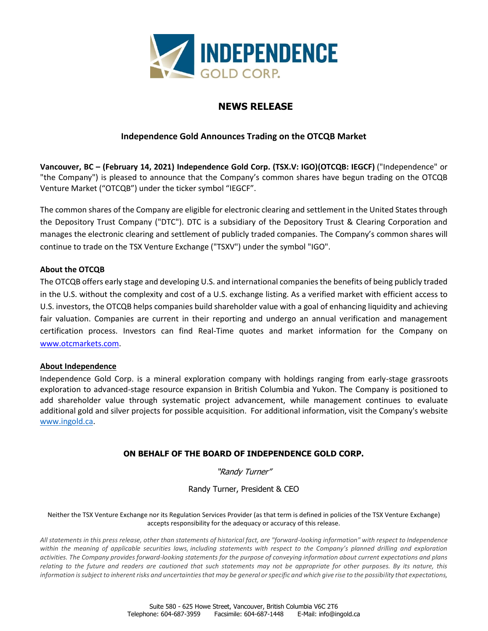

# **NEWS RELEASE**

# **Independence Gold Announces Trading on the OTCQB Market**

**Vancouver, BC – (February 14, 2021) Independence Gold Corp. (TSX.V: IGO)(OTCQB: IEGCF)** ("Independence" or "the Company") is pleased to announce that the Company's common shares have begun trading on the OTCQB Venture Market ("OTCQB") under the ticker symbol "IEGCF".

The common shares of the Company are eligible for electronic clearing and settlement in the United States through the Depository Trust Company ("DTC"). DTC is a subsidiary of the Depository Trust & Clearing Corporation and manages the electronic clearing and settlement of publicly traded companies. The Company's common shares will continue to trade on the TSX Venture Exchange ("TSXV") under the symbol "IGO".

### **About the OTCQB**

The OTCQB offers early stage and developing U.S. and international companies the benefits of being publicly traded in the U.S. without the complexity and cost of a U.S. exchange listing. As a verified market with efficient access to U.S. investors, the OTCQB helps companies build shareholder value with a goal of enhancing liquidity and achieving fair valuation. Companies are current in their reporting and undergo an annual verification and management certification process. Investors can find Real-Time quotes and market information for the Company on [www.otcmarkets.com.](http://www.otcmarkets.com/)

### **About Independence**

Independence Gold Corp. is a mineral exploration company with holdings ranging from early-stage grassroots exploration to advanced-stage resource expansion in British Columbia and Yukon. The Company is positioned to add shareholder value through systematic project advancement, while management continues to evaluate additional gold and silver projects for possible acquisition. For additional information, visit the Company's website [www.ingold.ca.](http://www.ingold.ca/)

# **ON BEHALF OF THE BOARD OF INDEPENDENCE GOLD CORP.**

"Randy Turner"

Randy Turner, President & CEO

Neither the TSX Venture Exchange nor its Regulation Services Provider (as that term is defined in policies of the TSX Venture Exchange) accepts responsibility for the adequacy or accuracy of this release.

*All statements in this press release, other than statements of historical fact, are "forward-looking information" with respect to Independence within the meaning of applicable securities laws, including statements with respect to the Company's planned drilling and exploration activities. The Company provides forward-looking statements for the purpose of conveying information about current expectations and plans relating to the future and readers are cautioned that such statements may not be appropriate for other purposes. By its nature, this information is subject to inherent risks and uncertainties that may be general or specific and which give rise to the possibility that expectations,*